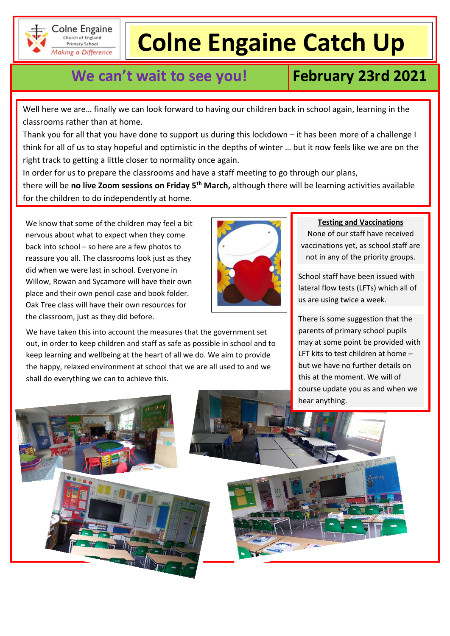

Colne Engaine Church of England Primary School Making a Difference

# **Colne Engaine Catch Up**

## **We can't wait to see you! February 23rd 2021**

Well here we are… finally we can look forward to having our children back in school again, learning in the classrooms rather than at home.

Thank you for all that you have done to support us during this lockdown – it has been more of a challenge I think for all of us to stay hopeful and optimistic in the depths of winter … but it now feels like we are on the right track to getting a little closer to normality once again.

In order for us to prepare the classrooms and have a staff meeting to go through our plans, there will be **no live Zoom sessions on Friday 5th March,** although there will be learning activities available for the children to do independently at home.

We know that some of the children may feel a bit nervous about what to expect when they come back into school – so here are a few photos to reassure you all. The classrooms look just as they did when we were last in school. Everyone in Willow, Rowan and Sycamore will have their own place and their own pencil case and book folder. Oak Tree class will have their own resources for the classroom, just as they did before.



We have taken this into account the measures that the government set out, in order to keep children and staff as safe as possible in school and to keep learning and wellbeing at the heart of all we do. We aim to provide the happy, relaxed environment at school that we are all used to and we shall do everything we can to achieve this.

#### **Testing and Vaccinations**

None of our staff have received vaccinations yet, as school staff are not in any of the priority groups.

School staff have been issued with lateral flow tests (LFTs) which all of us are using twice a week.

There is some suggestion that the parents of primary school pupils may at some point be provided with LFT kits to test children at home – but we have no further details on this at the moment. We will of course update you as and when we hear anything.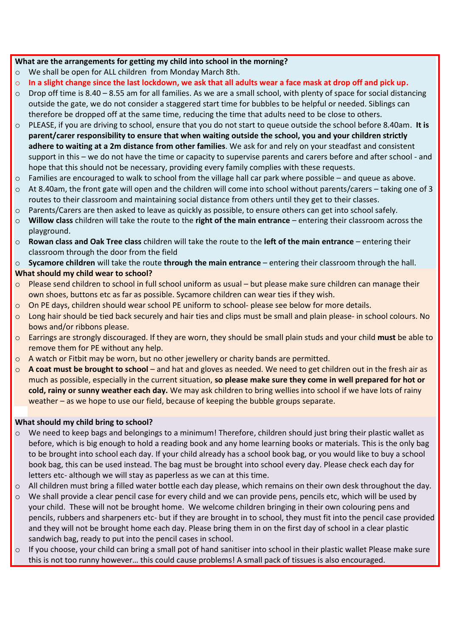#### **What are the arrangements for getting my child into school in the morning?**

- o We shall be open for ALL children from Monday March 8th.
- o **In a slight change since the last lockdown, we ask that all adults wear a face mask at drop off and pick up.**
- o Drop off time is 8.40 8.55 am for all families. As we are a small school, with plenty of space for social distancing outside the gate, we do not consider a staggered start time for bubbles to be helpful or needed. Siblings can therefore be dropped off at the same time, reducing the time that adults need to be close to others.
- o PLEASE, if you are driving to school, ensure that you do not start to queue outside the school before 8.40am. **It is parent/carer responsibility to ensure that when waiting outside the school, you and your children strictly adhere to waiting at a 2m distance from other families**. We ask for and rely on your steadfast and consistent support in this – we do not have the time or capacity to supervise parents and carers before and after school - and hope that this should not be necessary, providing every family complies with these requests.
- $\circ$  Families are encouraged to walk to school from the village hall car park where possible and queue as above.
- $\circ$  At 8.40am, the front gate will open and the children will come into school without parents/carers taking one of 3 routes to their classroom and maintaining social distance from others until they get to their classes.
- o Parents/Carers are then asked to leave as quickly as possible, to ensure others can get into school safely.
- o **Willow class** children will take the route to the **right of the main entrance** entering their classroom across the playground.
- o **Rowan class and Oak Tree class** children will take the route to the **left of the main entrance** entering their classroom through the door from the field

o **Sycamore children** will take the route **through the main entrance** – entering their classroom through the hall. **What should my child wear to school?**

- o Please send children to school in full school uniform as usual but please make sure children can manage their own shoes, buttons etc as far as possible. Sycamore children can wear ties if they wish.
- o On PE days, children should wear school PE uniform to school- please see below for more details.
- o Long hair should be tied back securely and hair ties and clips must be small and plain please- in school colours. No bows and/or ribbons please.
- o Earrings are strongly discouraged. If they are worn, they should be small plain studs and your child **must** be able to remove them for PE without any help.
- $\circ$  A watch or Fitbit may be worn, but no other jewellery or charity bands are permitted.
- o **A coat must be brought to school** and hat and gloves as needed. We need to get children out in the fresh air as much as possible, especially in the current situation, **so please make sure they come in well prepared for hot or cold, rainy or sunny weather each day.** We may ask children to bring wellies into school if we have lots of rainy weather – as we hope to use our field, because of keeping the bubble groups separate.

#### **What should my child bring to school?**

- o We need to keep bags and belongings to a minimum! Therefore, children should just bring their plastic wallet as before, which is big enough to hold a reading book and any home learning books or materials. This is the only bag to be brought into school each day. If your child already has a school book bag, or you would like to buy a school book bag, this can be used instead. The bag must be brought into school every day. Please check each day for letters etc- although we will stay as paperless as we can at this time.
- $\circ$  All children must bring a filled water bottle each day please, which remains on their own desk throughout the day.
- $\circ$  We shall provide a clear pencil case for every child and we can provide pens, pencils etc, which will be used by your child. These will not be brought home. We welcome children bringing in their own colouring pens and pencils, rubbers and sharpeners etc- but if they are brought in to school, they must fit into the pencil case provided and they will not be brought home each day. Please bring them in on the first day of school in a clear plastic sandwich bag, ready to put into the pencil cases in school.
- $\circ$  If you choose, your child can bring a small pot of hand sanitiser into school in their plastic wallet Please make sure this is not too runny however… this could cause problems! A small pack of tissues is also encouraged.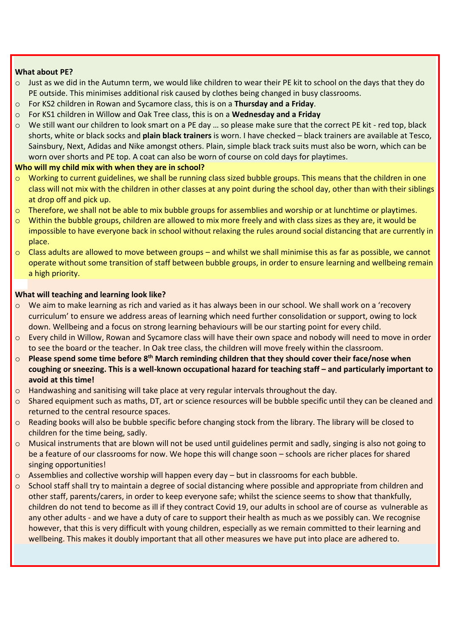#### **What about PE?**

- $\circ$  Just as we did in the Autumn term, we would like children to wear their PE kit to school on the days that they do PE outside. This minimises additional risk caused by clothes being changed in busy classrooms.
- o For KS2 children in Rowan and Sycamore class, this is on a **Thursday and a Friday**.
- o For KS1 children in Willow and Oak Tree class, this is on a **Wednesday and a Friday**
- o We still want our children to look smart on a PE day … so please make sure that the correct PE kit red top, black shorts, white or black socks and **plain black trainers** is worn. I have checked – black trainers are available at Tesco, Sainsbury, Next, Adidas and Nike amongst others. Plain, simple black track suits must also be worn, which can be worn over shorts and PE top. A coat can also be worn of course on cold days for playtimes.

#### **Who will my child mix with when they are in school?**

- $\circ$  Working to current guidelines, we shall be running class sized bubble groups. This means that the children in one class will not mix with the children in other classes at any point during the school day, other than with their siblings at drop off and pick up.
- o Therefore, we shall not be able to mix bubble groups for assemblies and worship or at lunchtime or playtimes.
- Within the bubble groups, children are allowed to mix more freely and with class sizes as they are, it would be impossible to have everyone back in school without relaxing the rules around social distancing that are currently in place.
- $\circ$  Class adults are allowed to move between groups and whilst we shall minimise this as far as possible, we cannot operate without some transition of staff between bubble groups, in order to ensure learning and wellbeing remain a high priority.

#### **What will teaching and learning look like?**

- o We aim to make learning as rich and varied as it has always been in our school. We shall work on a 'recovery curriculum' to ensure we address areas of learning which need further consolidation or support, owing to lock down. Wellbeing and a focus on strong learning behaviours will be our starting point for every child.
- o Every child in Willow, Rowan and Sycamore class will have their own space and nobody will need to move in order to see the board or the teacher. In Oak tree class, the children will move freely within the classroom.
- o **Please spend some time before 8th March reminding children that they should cover their face/nose when coughing or sneezing. This is a well-known occupational hazard for teaching staff – and particularly important to avoid at this time!**
- o Handwashing and sanitising will take place at very regular intervals throughout the day.
- o Shared equipment such as maths, DT, art or science resources will be bubble specific until they can be cleaned and returned to the central resource spaces.
- $\circ$  Reading books will also be bubble specific before changing stock from the library. The library will be closed to children for the time being, sadly.
- o Musical instruments that are blown will not be used until guidelines permit and sadly, singing is also not going to be a feature of our classrooms for now. We hope this will change soon – schools are richer places for shared singing opportunities!
- $\circ$  Assemblies and collective worship will happen every day but in classrooms for each bubble.
- $\circ$  School staff shall try to maintain a degree of social distancing where possible and appropriate from children and other staff, parents/carers, in order to keep everyone safe; whilst the science seems to show that thankfully, children do not tend to become as ill if they contract Covid 19, our adults in school are of course as vulnerable as any other adults - and we have a duty of care to support their health as much as we possibly can. We recognise however, that this is very difficult with young children, especially as we remain committed to their learning and wellbeing. This makes it doubly important that all other measures we have put into place are adhered to.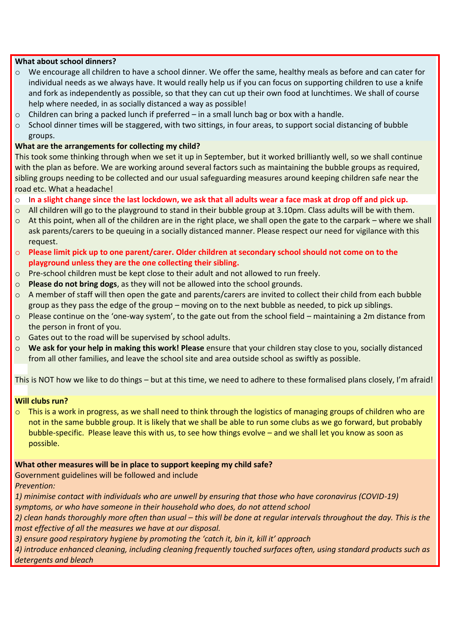#### **What about school dinners?**

- $\circ$  We encourage all children to have a school dinner. We offer the same, healthy meals as before and can cater for individual needs as we always have. It would really help us if you can focus on supporting children to use a knife and fork as independently as possible, so that they can cut up their own food at lunchtimes. We shall of course help where needed, in as socially distanced a way as possible!
- $\circ$  Children can bring a packed lunch if preferred in a small lunch bag or box with a handle.
- o School dinner times will be staggered, with two sittings, in four areas, to support social distancing of bubble groups.

#### **What are the arrangements for collecting my child?**

This took some thinking through when we set it up in September, but it worked brilliantly well, so we shall continue with the plan as before. We are working around several factors such as maintaining the bubble groups as required, sibling groups needing to be collected and our usual safeguarding measures around keeping children safe near the road etc. What a headache!

- o I**n a slight change since the last lockdown, we ask that all adults wear a face mask at drop off and pick up.**
- o All children will go to the playground to stand in their bubble group at 3.10pm. Class adults will be with them.
- $\circ$  At this point, when all of the children are in the right place, we shall open the gate to the carpark where we shall ask parents/carers to be queuing in a socially distanced manner. Please respect our need for vigilance with this request.
- o **Please limit pick up to one parent/carer. Older children at secondary school should not come on to the playground unless they are the one collecting their sibling.**
- o Pre-school children must be kept close to their adult and not allowed to run freely.
- o **Please do not bring dogs**, as they will not be allowed into the school grounds.
- $\circ$  A member of staff will then open the gate and parents/carers are invited to collect their child from each bubble group as they pass the edge of the group – moving on to the next bubble as needed, to pick up siblings.
- o Please continue on the 'one-way system', to the gate out from the school field maintaining a 2m distance from the person in front of you.
- o Gates out to the road will be supervised by school adults.
- o **We ask for your help in making this work! Please** ensure that your children stay close to you, socially distanced from all other families, and leave the school site and area outside school as swiftly as possible.

This is NOT how we like to do things – but at this time, we need to adhere to these formalised plans closely, I'm afraid!

#### **Will clubs run?**

o This is a work in progress, as we shall need to think through the logistics of managing groups of children who are not in the same bubble group. It is likely that we shall be able to run some clubs as we go forward, but probably bubble-specific. Please leave this with us, to see how things evolve – and we shall let you know as soon as possible.

#### **What other measures will be in place to support keeping my child safe?**

Government guidelines will be followed and include

*Prevention:*

*1) minimise contact with individuals who are unwell by ensuring that those who have coronavirus (COVID-19) symptoms, or who have someone in their household who does, do not attend school*

*2) clean hands thoroughly more often than usual – this will be done at regular intervals throughout the day. This is the most effective of all the measures we have at our disposal.* 

*3) ensure good respiratory hygiene by promoting the 'catch it, bin it, kill it' approach*

*4) introduce enhanced cleaning, including cleaning frequently touched surfaces often, using standard products such as detergents and bleach*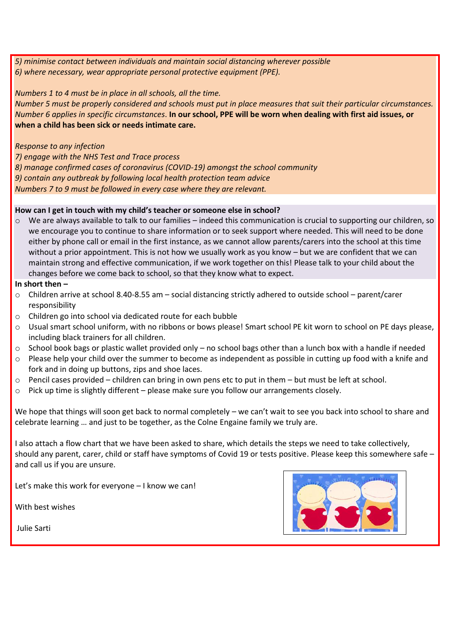*5) minimise contact between individuals and maintain social distancing wherever possible 6) where necessary, wear appropriate personal protective equipment (PPE).*

#### *Numbers 1 to 4 must be in place in all schools, all the time.*

*Number 5 must be properly considered and schools must put in place measures that suit their particular circumstances. Number 6 applies in specific circumstances*. **In our school, PPE will be worn when dealing with first aid issues, or when a child has been sick or needs intimate care.**

## *Response to any infection*

*7) engage with the NHS Test and Trace process*

*8) manage confirmed cases of coronavirus (COVID-19) amongst the school community*

*9) contain any outbreak by following local health protection team advice*

*Numbers 7 to 9 must be followed in every case where they are relevant.*

## **How can I get in touch with my child's teacher or someone else in school?**

 $\circ$  We are always available to talk to our families – indeed this communication is crucial to supporting our children, so we encourage you to continue to share information or to seek support where needed. This will need to be done either by phone call or email in the first instance, as we cannot allow parents/carers into the school at this time without a prior appointment. This is not how we usually work as you know – but we are confident that we can maintain strong and effective communication, if we work together on this! Please talk to your child about the changes before we come back to school, so that they know what to expect.

#### **In short then –**

- o Children arrive at school 8.40-8.55 am social distancing strictly adhered to outside school parent/carer responsibility
- o Children go into school via dedicated route for each bubble
- o Usual smart school uniform, with no ribbons or bows please! Smart school PE kit worn to school on PE days please, including black trainers for all children.
- $\circ$  School book bags or plastic wallet provided only no school bags other than a lunch box with a handle if needed
- o Please help your child over the summer to become as independent as possible in cutting up food with a knife and fork and in doing up buttons, zips and shoe laces.
- $\circ$  Pencil cases provided children can bring in own pens etc to put in them but must be left at school.
- o Pick up time is slightly different please make sure you follow our arrangements closely.

We hope that things will soon get back to normal completely – we can't wait to see you back into school to share and celebrate learning … and just to be together, as the Colne Engaine family we truly are.

I also attach a flow chart that we have been asked to share, which details the steps we need to take collectively, should any parent, carer, child or staff have symptoms of Covid 19 or tests positive. Please keep this somewhere safe – and call us if you are unsure.

Let's make this work for everyone – I know we can!

With best wishes

Julie Sarti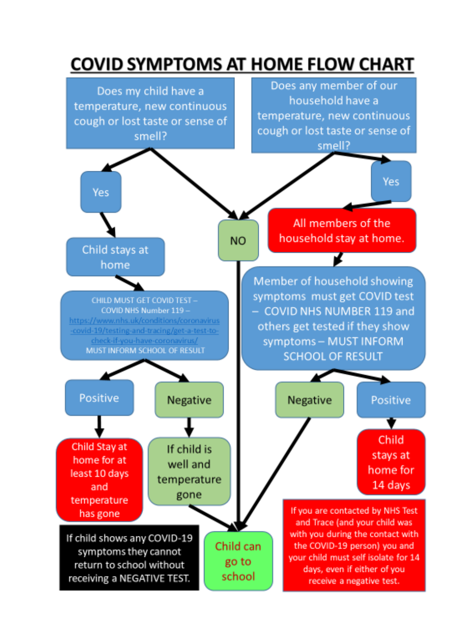